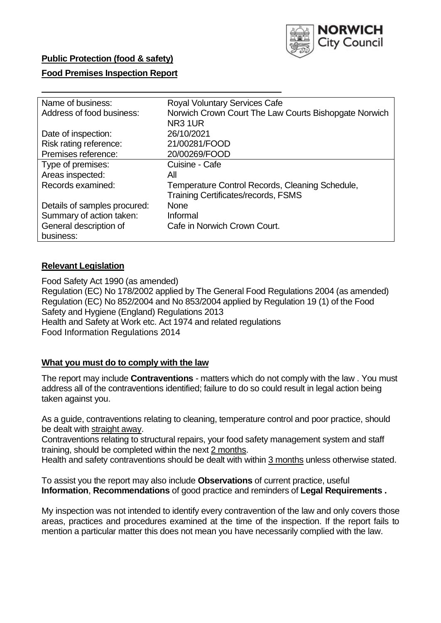

### **Public Protection (food & safety)**

### **Food Premises Inspection Report**

| Name of business:            | <b>Royal Voluntary Services Cafe</b>                  |
|------------------------------|-------------------------------------------------------|
| Address of food business:    | Norwich Crown Court The Law Courts Bishopgate Norwich |
|                              | NR <sub>3</sub> 1UR                                   |
| Date of inspection:          | 26/10/2021                                            |
| Risk rating reference:       | 21/00281/FOOD                                         |
| Premises reference:          | 20/00269/FOOD                                         |
| Type of premises:            | Cuisine - Cafe                                        |
| Areas inspected:             | All                                                   |
| Records examined:            | Temperature Control Records, Cleaning Schedule,       |
|                              | <b>Training Certificates/records, FSMS</b>            |
| Details of samples procured: | <b>None</b>                                           |
| Summary of action taken:     | Informal                                              |
| General description of       | Cafe in Norwich Crown Court.                          |
| business:                    |                                                       |

#### **Relevant Legislation**

 Food Safety Act 1990 (as amended) Regulation (EC) No 178/2002 applied by The General Food Regulations 2004 (as amended) Regulation (EC) No 852/2004 and No 853/2004 applied by Regulation 19 (1) of the Food Safety and Hygiene (England) Regulations 2013 Health and Safety at Work etc. Act 1974 and related regulations Food Information Regulations 2014

#### **What you must do to comply with the law**

 The report may include **Contraventions** - matters which do not comply with the law . You must address all of the contraventions identified; failure to do so could result in legal action being taken against you.

 As a guide, contraventions relating to cleaning, temperature control and poor practice, should be dealt with straight away.

 Contraventions relating to structural repairs, your food safety management system and staff training, should be completed within the next 2 months.

Health and safety contraventions should be dealt with within 3 months unless otherwise stated.

 To assist you the report may also include **Observations** of current practice, useful **Information**, **Recommendations** of good practice and reminders of **Legal Requirements .** 

 My inspection was not intended to identify every contravention of the law and only covers those areas, practices and procedures examined at the time of the inspection. If the report fails to mention a particular matter this does not mean you have necessarily complied with the law.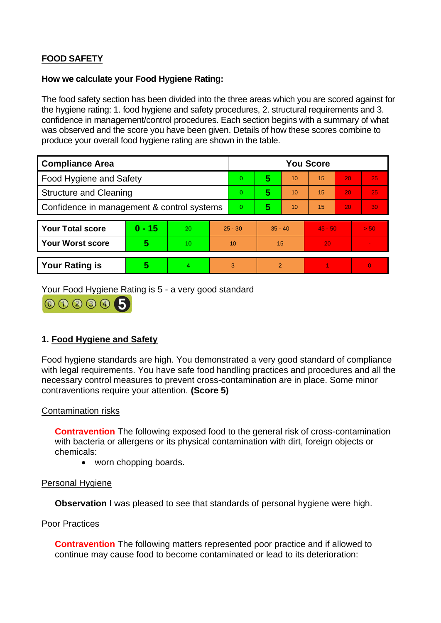# **FOOD SAFETY**

### **How we calculate your Food Hygiene Rating:**

 The food safety section has been divided into the three areas which you are scored against for the hygiene rating: 1. food hygiene and safety procedures, 2. structural requirements and 3. confidence in management/control procedures. Each section begins with a summary of what was observed and the score you have been given. Details of how these scores combine to produce your overall food hygiene rating are shown in the table.

| <b>Compliance Area</b>                     |          |                |                | <b>You Score</b> |                |    |           |    |                |  |  |
|--------------------------------------------|----------|----------------|----------------|------------------|----------------|----|-----------|----|----------------|--|--|
| Food Hygiene and Safety                    |          |                |                | $\Omega$         | 5              | 10 | 15        | 20 | 25             |  |  |
| <b>Structure and Cleaning</b>              |          |                |                | $\overline{0}$   | 5              | 10 | 15        | 20 | 25             |  |  |
| Confidence in management & control systems |          |                | $\overline{0}$ | 5                | 10             | 15 | 20        | 30 |                |  |  |
|                                            |          |                |                |                  |                |    |           |    |                |  |  |
| <b>Your Total score</b>                    | $0 - 15$ | 20             | $25 - 30$      |                  | $35 - 40$      |    | $45 - 50$ |    | > 50           |  |  |
| <b>Your Worst score</b>                    | 5        | 10             | 10             |                  | 15             |    | 20        |    |                |  |  |
|                                            |          |                |                |                  |                |    |           |    |                |  |  |
| <b>Your Rating is</b>                      | 5        | $\overline{4}$ | 3              |                  | $\overline{2}$ |    |           |    | $\overline{0}$ |  |  |

Your Food Hygiene Rating is 5 - a very good standard



# **1. Food Hygiene and Safety**

 with legal requirements. You have safe food handling practices and procedures and all the Food hygiene standards are high. You demonstrated a very good standard of compliance necessary control measures to prevent cross-contamination are in place. Some minor contraventions require your attention. **(Score 5)** 

### Contamination risks

 with bacteria or allergens or its physical contamination with dirt, foreign objects or **Contravention** The following exposed food to the general risk of cross-contamination chemicals:

• worn chopping boards.

### Personal Hygiene

**Observation** I was pleased to see that standards of personal hygiene were high.

### Poor Practices

**Contravention** The following matters represented poor practice and if allowed to continue may cause food to become contaminated or lead to its deterioration: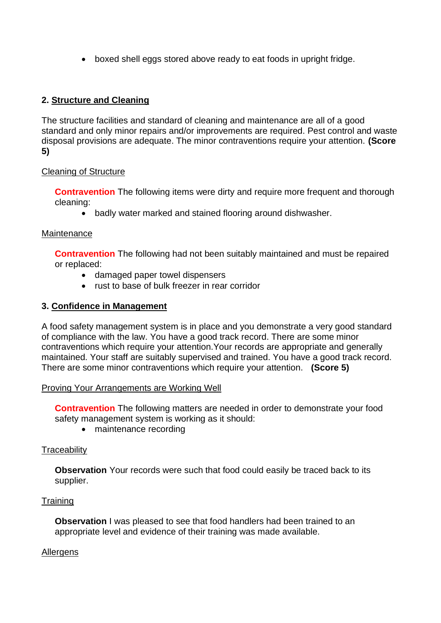• boxed shell eggs stored above ready to eat foods in upright fridge.

# **2. Structure and Cleaning**

The structure facilities and standard of cleaning and maintenance are all of a good standard and only minor repairs and/or improvements are required. Pest control and waste disposal provisions are adequate. The minor contraventions require your attention. **(Score 5)** 

### Cleaning of Structure

**Contravention** The following items were dirty and require more frequent and thorough cleaning:

• badly water marked and stained flooring around dishwasher.

### **Maintenance**

**Contravention** The following had not been suitably maintained and must be repaired or replaced:

- damaged paper towel dispensers
- rust to base of bulk freezer in rear corridor

### **3. Confidence in Management**

 of compliance with the law. You have a good track record. There are some minor maintained. Your staff are suitably supervised and trained. You have a good track record. A food safety management system is in place and you demonstrate a very good standard contraventions which require your attention.Your records are appropriate and generally There are some minor contraventions which require your attention. **(Score 5)** 

### Proving Your Arrangements are Working Well

**Contravention** The following matters are needed in order to demonstrate your food safety management system is working as it should:

• maintenance recording

# **Traceability**

**Observation** Your records were such that food could easily be traced back to its supplier.

### **Training**

 **Observation** I was pleased to see that food handlers had been trained to an appropriate level and evidence of their training was made available.

### Allergens